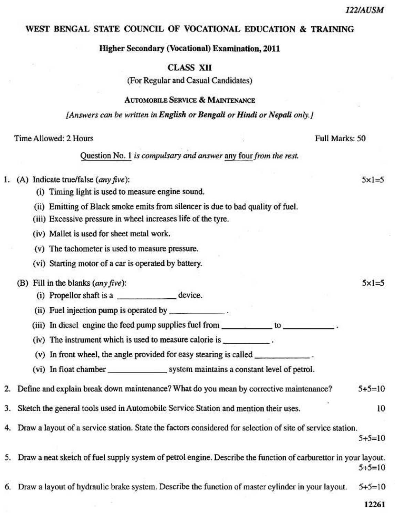## WEST BENGAL STATE COUNCIL OF VOCATIONAL EDUCATION & TRAINING

**Higher Secondary (Vocational) Examination, 2011** 

## **CLASS XII**

(For Regular and Casual Candidates)

## **AUTOMOBILE SERVICE & MAINTENANCE**

[Answers can be written in English or Bengali or Hindi or Nepali only.]

| Time Allowed: 2 Hours<br>Full Marks: 50                                                                                                                                                                                                                                                                                                                                                                       |              |
|---------------------------------------------------------------------------------------------------------------------------------------------------------------------------------------------------------------------------------------------------------------------------------------------------------------------------------------------------------------------------------------------------------------|--------------|
| Question No. 1 is compulsary and answer any four from the rest.                                                                                                                                                                                                                                                                                                                                               |              |
| 1. (A) Indicate true/false $(\text{any five})$ :<br>(i) Timing light is used to measure engine sound.                                                                                                                                                                                                                                                                                                         | $5x1=5$      |
| (ii) Emitting of Black smoke emits from silencer is due to bad quality of fuel.<br>(iii) Excessive pressure in wheel increases life of the tyre.                                                                                                                                                                                                                                                              |              |
| (iv) Mallet is used for sheet metal work.<br>(v) The tachometer is used to measure pressure.<br>(vi) Starting motor of a car is operated by battery.                                                                                                                                                                                                                                                          |              |
| (B) Fill in the blanks $(\text{any five})$ :<br>(i) Propellor shaft is a _______________ device.<br>(ii) Fuel injection pump is operated by ____________.<br>(iii) In diesel engine the feed pump supplies fuel from ____________ to ___________.<br>(iv) The instrument which is used to measure calorie is ___________.<br>(v) In front wheel, the angle provided for easy stearing is called ____________. | $5x1=5$      |
| 2. Define and explain break down maintenance? What do you mean by corrective maintenance?                                                                                                                                                                                                                                                                                                                     | $5+5=10$     |
| 3. Sketch the general tools used in Automobile Service Station and mention their uses.                                                                                                                                                                                                                                                                                                                        | 10           |
| 4. Draw a layout of a service station. State the factors considered for selection of site of service station.                                                                                                                                                                                                                                                                                                 | $5 + 5 = 10$ |
| 5. Draw a neat sketch of fuel supply system of petrol engine. Describe the function of carburettor in your layout.                                                                                                                                                                                                                                                                                            | $5+5=10$     |
| 6. Draw a layout of hydraulic brake system. Describe the function of master cylinder in your layout.                                                                                                                                                                                                                                                                                                          | $5+5=10$     |
|                                                                                                                                                                                                                                                                                                                                                                                                               | 12261        |